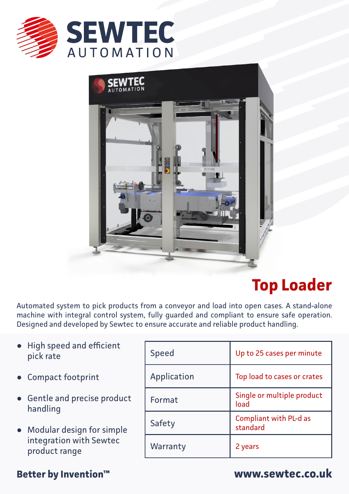



# **Top Loader**

Automated system to pick products from a conveyor and load into open cases. A stand-alone machine with integral control system, fully guarded and compliant to ensure safe operation. Designed and developed by Sewtec to ensure accurate and reliable product handling.

- High speed and efficient **●** pick rate
- Compact footprint **●**
- Gentle and precise product **●** handling
- Modular design for simple **●** integration with Sewtec product range

## Speed Up to 25 cases per minute Application Top load to cases or crates Format Single or multiple product load Safety Compliant with PL-d as standard Warranty 2 years

### **Better by Invention™ www.sewtec.co.uk**